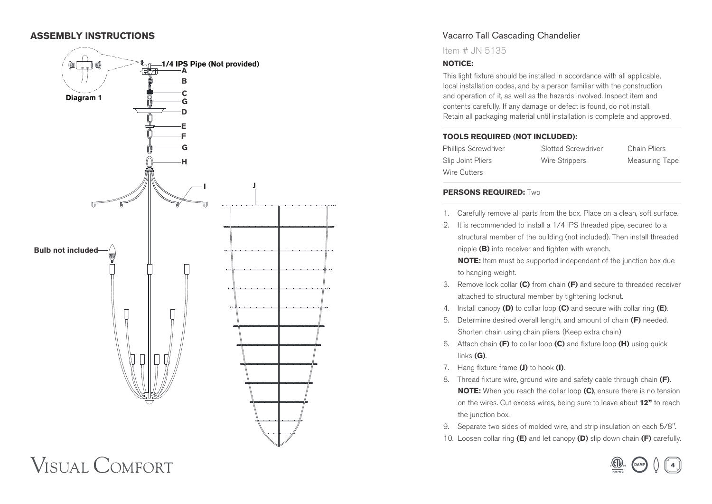## **ASSEMBLY INSTRUCTIONS**



**VISUAL COMFORT** 

# Vacarro Tall Cascading Chandelier

Item # JN 5135

#### **NOTICE:**

This light fixture should be installed in accordance with all applicable, local installation codes, and by a person familiar with the construction and operation of it, as well as the hazards involved. Inspect item and contents carefully. If any damage or defect is found, do not install. Retain all packaging material until installation is complete and approved.

#### **TOOLS REQUIRED (NOT INCLUDED):**

Phillips Screwdriver Slotted Screwdriver Chain Pliers Slip Joint Pliers **Wire Strippers** Measuring Tape Wire Cutters

#### **PERSONS REQUIRED:** Two

1. Carefully remove all parts from the box. Place on a clean, soft surface.

2. It is recommended to install a 1/4 IPS threaded pipe, secured to a structural member of the building (not included). Then install threaded nipple **(B)** into receiver and tighten with wrench.

**NOTE:** Item must be supported independent of the junction box due to hanging weight.

- 3. Remove lock collar **(C)** from chain **(F)** and secure to threaded receiver attached to structural member by tightening locknut.
- 4. Install canopy **(D)** to collar loop **(C)** and secure with collar ring **(E)**.
- 5. Determine desired overall length, and amount of chain **(F)** needed. Shorten chain using chain pliers. (Keep extra chain)
- 6. Attach chain **(F)** to collar loop **(C)** and fixture loop **(H)** using quick links **(G)**.
- 7. Hang fixture frame **(J)** to hook **(I)**.
- 8. Thread fixture wire, ground wire and safety cable through chain **(F)**.  **NOTE:** When you reach the collar loop **(C)**, ensure there is no tension on the wires. Cut excess wires, being sure to leave about **12"** to reach the junction box.
- 9. Separate two sides of molded wire, and strip insulation on each 5/8".
- 10. Loosen collar ring **(E)** and let canopy **(D)** slip down chain **(F)** carefully.